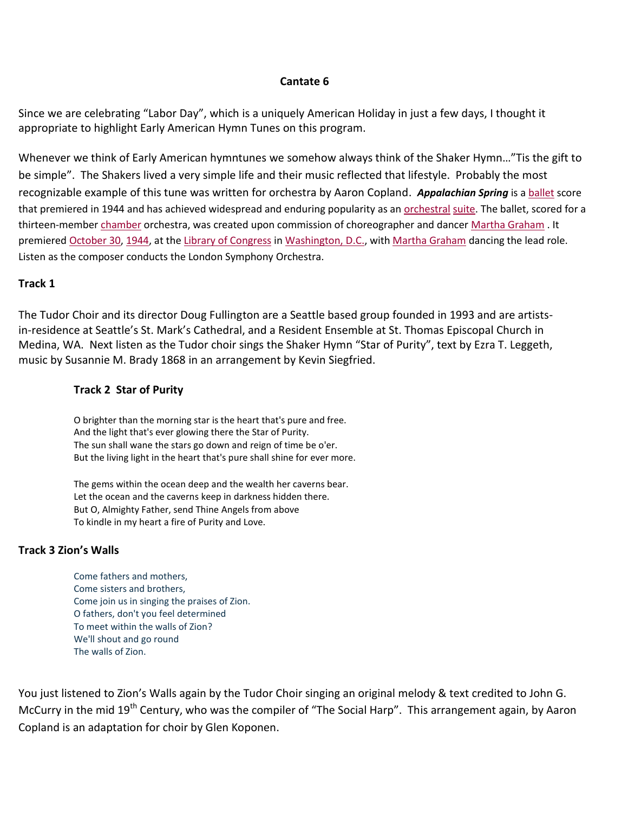# **Cantate 6**

Since we are celebrating "Labor Day", which is a uniquely American Holiday in just a few days, I thought it appropriate to highlight Early American Hymn Tunes on this program.

Whenever we think of Early American hymntunes we somehow always think of the Shaker Hymn…"Tis the gift to be simple". The Shakers lived a very simple life and their music reflected that lifestyle. Probably the most recognizable example of this tune was written for orchestra by Aaron Copland. *Appalachian Spring* is a [ballet](http://en.wikipedia.org/wiki/Ballet) score that premiered in 1944 and has achieved widespread and enduring popularity as an [orchestral](http://en.wikipedia.org/wiki/Orchestra) [suite.](http://en.wikipedia.org/wiki/Suite) The ballet, scored for a thirteen-member [chamber](http://en.wikipedia.org/wiki/Chamber_music) orchestra, was created upon commission of choreographer and dancer [Martha Graham](http://en.wikipedia.org/wiki/Martha_Graham). It premiere[d October 30,](http://en.wikipedia.org/wiki/October_30) [1944,](http://en.wikipedia.org/wiki/1944) at the [Library of Congress](http://en.wikipedia.org/wiki/Library_of_Congress) in [Washington, D.C.,](http://en.wikipedia.org/wiki/Washington,_D.C.) with [Martha Graham](http://en.wikipedia.org/wiki/Martha_Graham) dancing the lead role. Listen as the composer conducts the London Symphony Orchestra.

# **Track 1**

The Tudor Choir and its director Doug Fullington are a Seattle based group founded in 1993 and are artistsin-residence at Seattle's St. Mark's Cathedral, and a Resident Ensemble at St. Thomas Episcopal Church in Medina, WA. Next listen as the Tudor choir sings the Shaker Hymn "Star of Purity", text by Ezra T. Leggeth, music by Susannie M. Brady 1868 in an arrangement by Kevin Siegfried.

# **Track 2 Star of Purity**

O brighter than the morning star is the heart that's pure and free. And the light that's ever glowing there the Star of Purity. The sun shall wane the stars go down and reign of time be o'er. But the living light in the heart that's pure shall shine for ever more.

The gems within the ocean deep and the wealth her caverns bear. Let the ocean and the caverns keep in darkness hidden there. But O, Almighty Father, send Thine Angels from above To kindle in my heart a fire of Purity and Love.

# **Track 3 Zion's Walls**

Come fathers and mothers, Come sisters and brothers, Come join us in singing the praises of Zion. O fathers, don't you feel determined To meet within the walls of Zion? We'll shout and go round The walls of Zion.

You just listened to Zion's Walls again by the Tudor Choir singing an original melody & text credited to John G. McCurry in the mid 19<sup>th</sup> Century, who was the compiler of "The Social Harp". This arrangement again, by Aaron Copland is an adaptation for choir by Glen Koponen.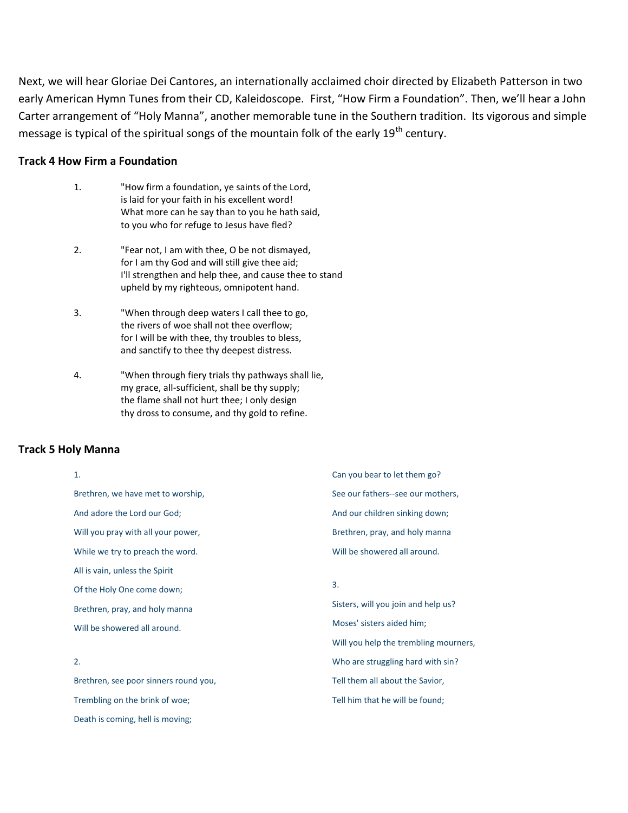Next, we will hear Gloriae Dei Cantores, an internationally acclaimed choir directed by Elizabeth Patterson in two early American Hymn Tunes from their CD, Kaleidoscope. First, "How Firm a Foundation". Then, we'll hear a John Carter arrangement of "Holy Manna", another memorable tune in the Southern tradition. Its vigorous and simple message is typical of the spiritual songs of the mountain folk of the early 19<sup>th</sup> century.

#### **Track 4 How Firm a Foundation**

- 1. "How firm a foundation, ye saints of the Lord, is laid for your faith in his excellent word! What more can he say than to you he hath said, to you who for refuge to Jesus have fled?
- 2. "Fear not, I am with thee, O be not dismayed, for I am thy God and will still give thee aid; I'll strengthen and help thee, and cause thee to stand upheld by my righteous, omnipotent hand.
- 3. "When through deep waters I call thee to go, the rivers of woe shall not thee overflow; for I will be with thee, thy troubles to bless, and sanctify to thee thy deepest distress.
- 4. "When through fiery trials thy pathways shall lie, my grace, all-sufficient, shall be thy supply; the flame shall not hurt thee; I only design thy dross to consume, and thy gold to refine.

#### **Track 5 Holy Manna**

1.

Brethren, we have met to worship, And adore the Lord our God; Will you pray with all your power, While we try to preach the word. All is vain, unless the Spirit Of the Holy One come down; Brethren, pray, and holy manna Will be showered all around.

2.

Brethren, see poor sinners round you, Trembling on the brink of woe; Death is coming, hell is moving;

Can you bear to let them go? See our fathers--see our mothers, And our children sinking down; Brethren, pray, and holy manna Will be showered all around.

#### 3.

Sisters, will you join and help us? Moses' sisters aided him; Will you help the trembling mourners, Who are struggling hard with sin? Tell them all about the Savior, Tell him that he will be found;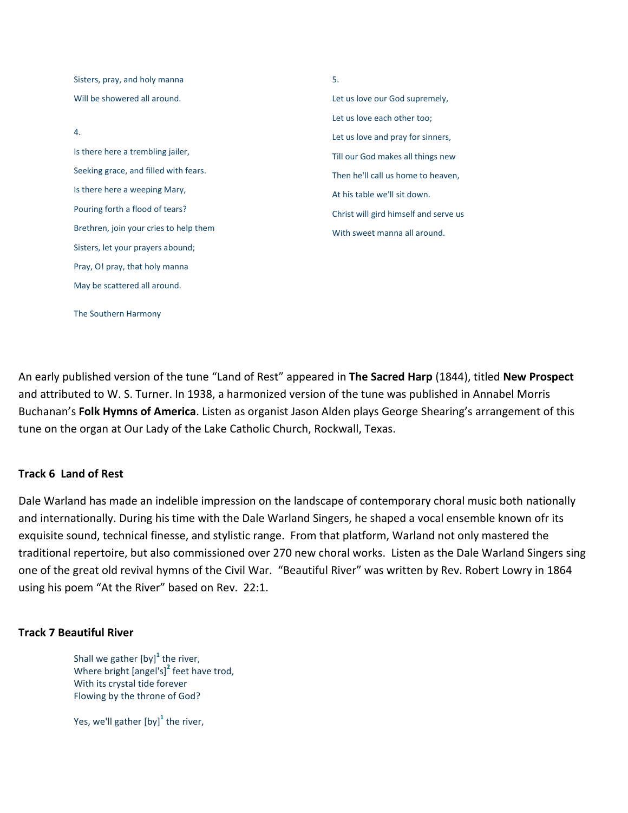Sisters, pray, and holy manna Will be showered all around.

4.

Is there here a trembling jailer, Seeking grace, and filled with fears. Is there here a weeping Mary, Pouring forth a flood of tears? Brethren, join your cries to help them Sisters, let your prayers abound; Pray, O! pray, that holy manna May be scattered all around.

5. Let us love our God supremely, Let us love each other too; Let us love and pray for sinners, Till our God makes all things new Then he'll call us home to heaven, At his table we'll sit down. Christ will gird himself and serve us With sweet manna all around.

The Southern Harmony

An early published version of the tune "Land of Rest" appeared in **The Sacred Harp** (1844), titled **New Prospect**  and attributed to W. S. Turner. In 1938, a harmonized version of the tune was published in Annabel Morris Buchanan's **Folk Hymns of America**. Listen as organist Jason Alden plays George Shearing's arrangement of this tune on the organ at Our Lady of the Lake Catholic Church, Rockwall, Texas.

# **Track 6 Land of Rest**

Dale Warland has made an indelible impression on the landscape of contemporary choral music both nationally and internationally. During his time with the Dale Warland Singers, he shaped a vocal ensemble known ofr its exquisite sound, technical finesse, and stylistic range. From that platform, Warland not only mastered the traditional repertoire, but also commissioned over 270 new choral works. Listen as the Dale Warland Singers sing one of the great old revival hymns of the Civil War. "Beautiful River" was written by Rev. Robert Lowry in 1864 using his poem "At the River" based on Rev. 22:1.

# **Track 7 Beautiful River**

Shall we gather [by]<sup>1</sup> the river, Where bright [angel's]**<sup>2</sup>** feet have trod, With its crystal tide forever Flowing by the throne of God?

Yes, we'll gather [by]<sup>1</sup> the river,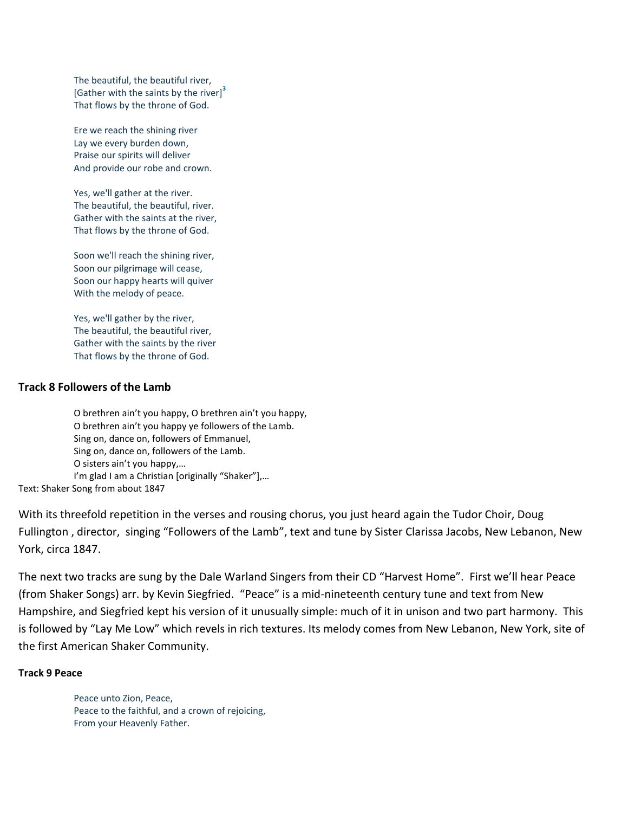The beautiful, the beautiful river, [Gather with the saints by the river]**<sup>3</sup>** That flows by the throne of God.

Ere we reach the shining river Lay we every burden down, Praise our spirits will deliver And provide our robe and crown.

Yes, we'll gather at the river. The beautiful, the beautiful, river. Gather with the saints at the river, That flows by the throne of God.

Soon we'll reach the shining river, Soon our pilgrimage will cease, Soon our happy hearts will quiver With the melody of peace.

Yes, we'll gather by the river, The beautiful, the beautiful river, Gather with the saints by the river That flows by the throne of God.

# **Track 8 Followers of the Lamb**

O brethren ain't you happy, O brethren ain't you happy, O brethren ain't you happy ye followers of the Lamb. Sing on, dance on, followers of Emmanuel, Sing on, dance on, followers of the Lamb. O sisters ain't you happy,… I'm glad I am a Christian [originally "Shaker"],… Text: Shaker Song from about 1847

With its threefold repetition in the verses and rousing chorus, you just heard again the Tudor Choir, Doug Fullington , director, singing "Followers of the Lamb", text and tune by Sister Clarissa Jacobs, New Lebanon, New York, circa 1847.

The next two tracks are sung by the Dale Warland Singers from their CD "Harvest Home". First we'll hear Peace (from Shaker Songs) arr. by Kevin Siegfried. "Peace" is a mid-nineteenth century tune and text from New Hampshire, and Siegfried kept his version of it unusually simple: much of it in unison and two part harmony. This is followed by "Lay Me Low" which revels in rich textures. Its melody comes from New Lebanon, New York, site of the first American Shaker Community.

# **Track 9 Peace**

Peace unto Zion, Peace, Peace to the faithful, and a crown of rejoicing, From your Heavenly Father.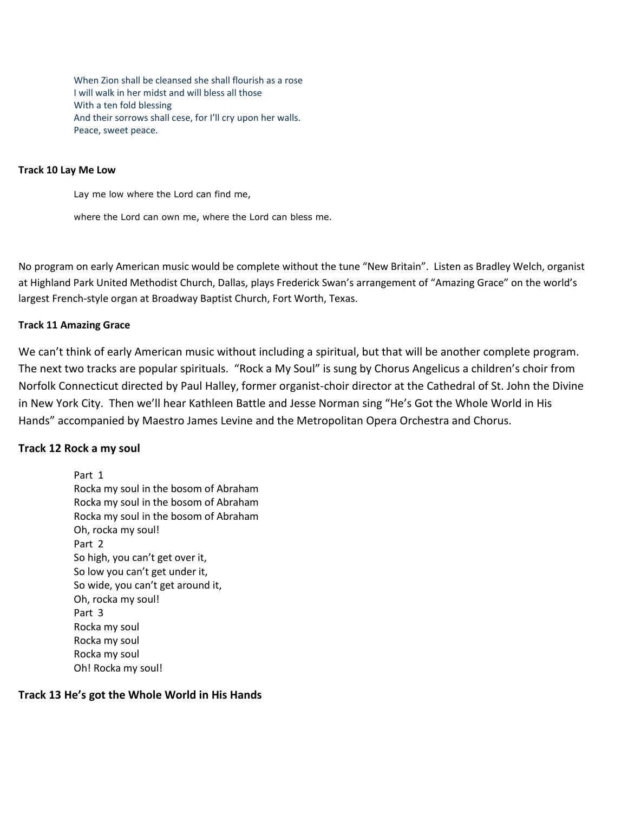When Zion shall be cleansed she shall flourish as a rose I will walk in her midst and will bless all those With a ten fold blessing And their sorrows shall cese, for I'll cry upon her walls. Peace, sweet peace.

#### **Track 10 Lay Me Low**

Lay me low where the Lord can find me,

where the Lord can own me, where the Lord can bless me.

No program on early American music would be complete without the tune "New Britain". Listen as Bradley Welch, organist at Highland Park United Methodist Church, Dallas, plays Frederick Swan's arrangement of "Amazing Grace" on the world's largest French-style organ at Broadway Baptist Church, Fort Worth, Texas.

#### **Track 11 Amazing Grace**

We can't think of early American music without including a spiritual, but that will be another complete program. The next two tracks are popular spirituals. "Rock a My Soul" is sung by Chorus Angelicus a children's choir from Norfolk Connecticut directed by Paul Halley, former organist-choir director at the Cathedral of St. John the Divine in New York City. Then we'll hear Kathleen Battle and Jesse Norman sing "He's Got the Whole World in His Hands" accompanied by Maestro James Levine and the Metropolitan Opera Orchestra and Chorus.

# **Track 12 Rock a my soul**

Part 1 Rocka my soul in the bosom of Abraham Rocka my soul in the bosom of Abraham Rocka my soul in the bosom of Abraham Oh, rocka my soul! Part 2 So high, you can't get over it, So low you can't get under it, So wide, you can't get around it, Oh, rocka my soul! Part 3 Rocka my soul Rocka my soul Rocka my soul Oh! Rocka my soul!

**Track 13 He's got the Whole World in His Hands**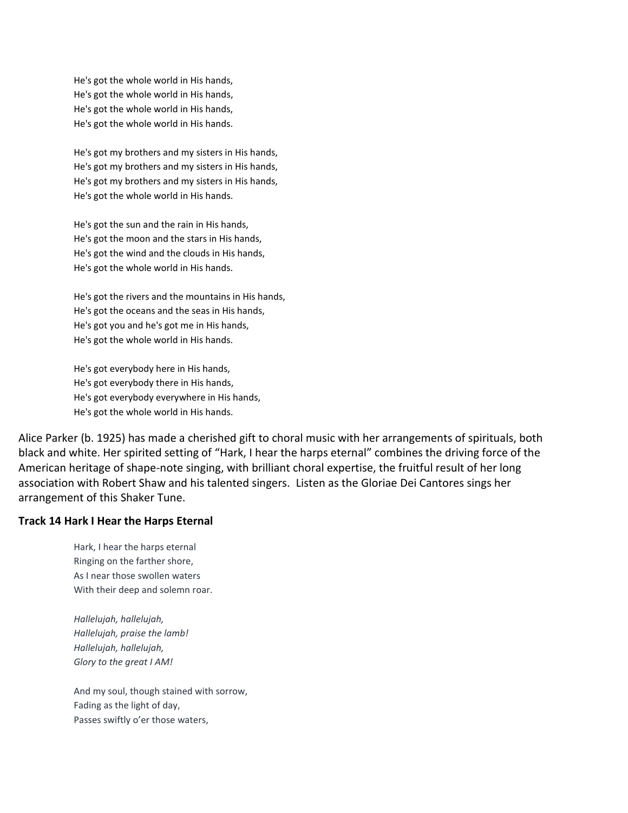He's got the whole world in His hands, He's got the whole world in His hands, He's got the whole world in His hands, He's got the whole world in His hands.

He's got my brothers and my sisters in His hands, He's got my brothers and my sisters in His hands, He's got my brothers and my sisters in His hands, He's got the whole world in His hands.

He's got the sun and the rain in His hands, He's got the moon and the stars in His hands, He's got the wind and the clouds in His hands, He's got the whole world in His hands.

He's got the rivers and the mountains in His hands, He's got the oceans and the seas in His hands, He's got you and he's got me in His hands, He's got the whole world in His hands.

He's got everybody here in His hands, He's got everybody there in His hands, He's got everybody everywhere in His hands, He's got the whole world in His hands.

Alice Parker (b. 1925) has made a cherished gift to choral music with her arrangements of spirituals, both black and white. Her spirited setting of "Hark, I hear the harps eternal" combines the driving force of the American heritage of shape-note singing, with brilliant choral expertise, the fruitful result of her long association with Robert Shaw and his talented singers. Listen as the Gloriae Dei Cantores sings her arrangement of this Shaker Tune.

#### **Track 14 Hark I Hear the Harps Eternal**

Hark, I hear the harps eternal Ringing on the farther shore, As I near those swollen waters With their deep and solemn roar.

*Hallelujah, hallelujah, Hallelujah, praise the lamb! Hallelujah, hallelujah, Glory to the great I AM!*

And my soul, though stained with sorrow, Fading as the light of day, Passes swiftly o'er those waters,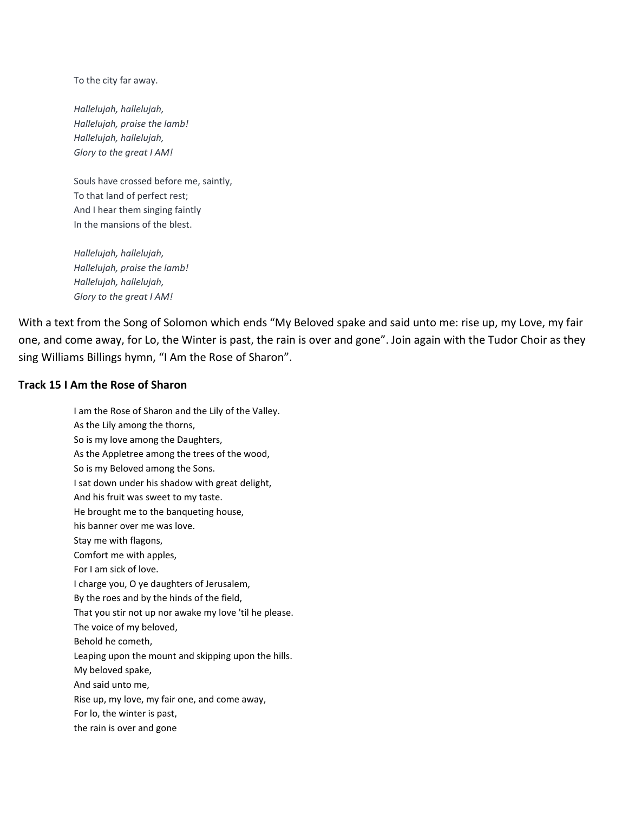To the city far away.

*Hallelujah, hallelujah, Hallelujah, praise the lamb! Hallelujah, hallelujah, Glory to the great I AM!*

Souls have crossed before me, saintly, To that land of perfect rest; And I hear them singing faintly In the mansions of the blest.

*Hallelujah, hallelujah, Hallelujah, praise the lamb! Hallelujah, hallelujah, Glory to the great I AM!*

With a text from the Song of Solomon which ends "My Beloved spake and said unto me: rise up, my Love, my fair one, and come away, for Lo, the Winter is past, the rain is over and gone". Join again with the Tudor Choir as they sing Williams Billings hymn, "I Am the Rose of Sharon".

# **Track 15 I Am the Rose of Sharon**

I am the Rose of Sharon and the Lily of the Valley. As the Lily among the thorns, So is my love among the Daughters, As the Appletree among the trees of the wood, So is my Beloved among the Sons. I sat down under his shadow with great delight, And his fruit was sweet to my taste. He brought me to the banqueting house, his banner over me was love. Stay me with flagons, Comfort me with apples, For I am sick of love. I charge you, O ye daughters of Jerusalem, By the roes and by the hinds of the field, That you stir not up nor awake my love 'til he please. The voice of my beloved, Behold he cometh, Leaping upon the mount and skipping upon the hills. My beloved spake, And said unto me, Rise up, my love, my fair one, and come away, For lo, the winter is past, the rain is over and gone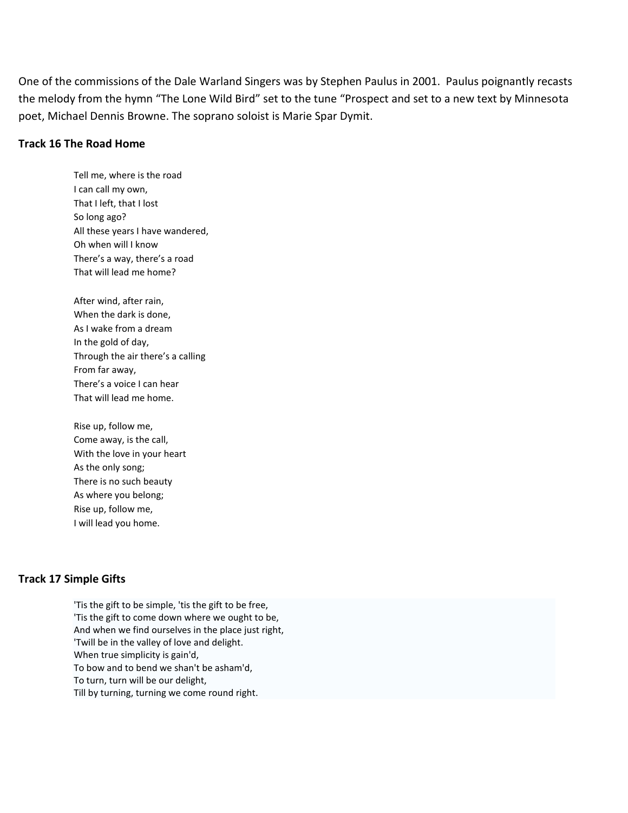One of the commissions of the Dale Warland Singers was by Stephen Paulus in 2001. Paulus poignantly recasts the melody from the hymn "The Lone Wild Bird" set to the tune "Prospect and set to a new text by Minnesota poet, Michael Dennis Browne. The soprano soloist is Marie Spar Dymit.

#### **Track 16 The Road Home**

Tell me, where is the road I can call my own, That I left, that I lost So long ago? All these years I have wandered, Oh when will I know There's a way, there's a road That will lead me home?

After wind, after rain, When the dark is done, As I wake from a dream In the gold of day, Through the air there's a calling From far away, There's a voice I can hear That will lead me home.

Rise up, follow me, Come away, is the call, With the love in your heart As the only song; There is no such beauty As where you belong; Rise up, follow me, I will lead you home.

# **Track 17 Simple Gifts**

'Tis the gift to be simple, 'tis the gift to be free, 'Tis the gift to come down where we ought to be, And when we find ourselves in the place just right, 'Twill be in the valley of love and delight. When true simplicity is gain'd, To bow and to bend we shan't be asham'd, To turn, turn will be our delight, Till by turning, turning we come round right.